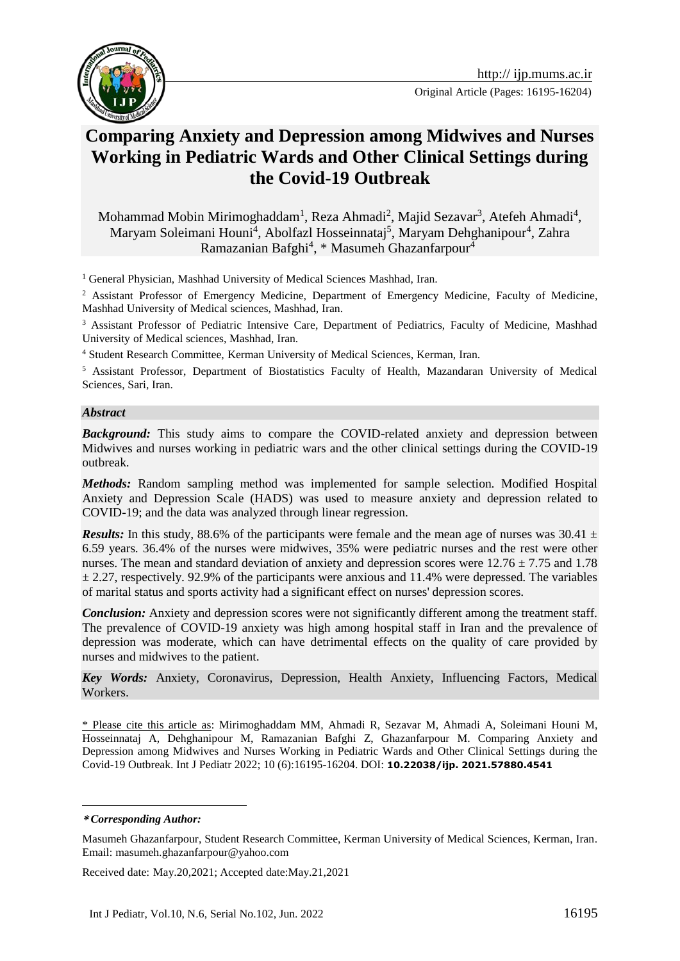

# **Comparing Anxiety and Depression among Midwives and Nurses Working in Pediatric Wards and Other Clinical Settings during the Covid-19 Outbreak**

Mohammad Mobin Mirimoghaddam<sup>1</sup>, Reza Ahmadi<sup>2</sup>, Majid Sezavar<sup>3</sup>, Atefeh Ahmadi<sup>4</sup>, Maryam Soleimani Houni<sup>4</sup>, Abolfazl Hosseinnataj<sup>5</sup>, Maryam Dehghanipour<sup>4</sup>, Zahra Ramazanian Bafghi<sup>4</sup>, \* Masumeh Ghazanfarpour<sup>4</sup>

<sup>1</sup> General Physician, Mashhad University of Medical Sciences Mashhad, Iran.

<sup>2</sup> Assistant Professor of Emergency Medicine, Department of Emergency Medicine, Faculty of Medicine, Mashhad University of Medical sciences, Mashhad, Iran.

<sup>3</sup> Assistant Professor of Pediatric Intensive Care, Department of Pediatrics, Faculty of Medicine, Mashhad University of Medical sciences, Mashhad, Iran.

<sup>4</sup> Student Research Committee, Kerman University of Medical Sciences, Kerman, Iran.

<sup>5</sup> Assistant Professor, Department of Biostatistics Faculty of Health, Mazandaran University of Medical Sciences, Sari, Iran.

#### *Abstract*

*Background:* This study aims to compare the COVID-related anxiety and depression between Midwives and nurses working in pediatric wars and the other clinical settings during the COVID-19 outbreak.

*Methods:* Random sampling method was implemented for sample selection. Modified Hospital Anxiety and Depression Scale (HADS) was used to measure anxiety and depression related to COVID-19; and the data was analyzed through linear regression.

*Results:* In this study, 88.6% of the participants were female and the mean age of nurses was 30.41  $\pm$ 6.59 years. 36.4% of the nurses were midwives, 35% were pediatric nurses and the rest were other nurses. The mean and standard deviation of anxiety and depression scores were  $12.76 \pm 7.75$  and 1.78  $\pm$  2.27, respectively. 92.9% of the participants were anxious and 11.4% were depressed. The variables of marital status and sports activity had a significant effect on nurses' depression scores.

*Conclusion:* Anxiety and depression scores were not significantly different among the treatment staff. The prevalence of COVID-19 anxiety was high among hospital staff in Iran and the prevalence of depression was moderate, which can have detrimental effects on the quality of care provided by nurses and midwives to the patient.

*Key Words:* Anxiety, Coronavirus, Depression, Health Anxiety, Influencing Factors, Medical Workers.

\* Please cite this article as: Mirimoghaddam MM, Ahmadi R, Sezavar M, Ahmadi A, Soleimani Houni M, Hosseinnataj A, Dehghanipour M, Ramazanian Bafghi Z, Ghazanfarpour M. Comparing Anxiety and Depression among Midwives and Nurses Working in Pediatric Wards and Other Clinical Settings during the Covid-19 Outbreak. Int J Pediatr 2022; 10 (6):16195-16204. DOI: **10.22038/ijp. 2021.57880.4541**

1

Received date: May.20,2021; Accepted date:May.21,2021

**<sup>\*</sup>** *Corresponding Author:*

Masumeh Ghazanfarpour, Student Research Committee, Kerman University of Medical Sciences, Kerman, Iran. Email: masumeh.ghazanfarpour@yahoo.com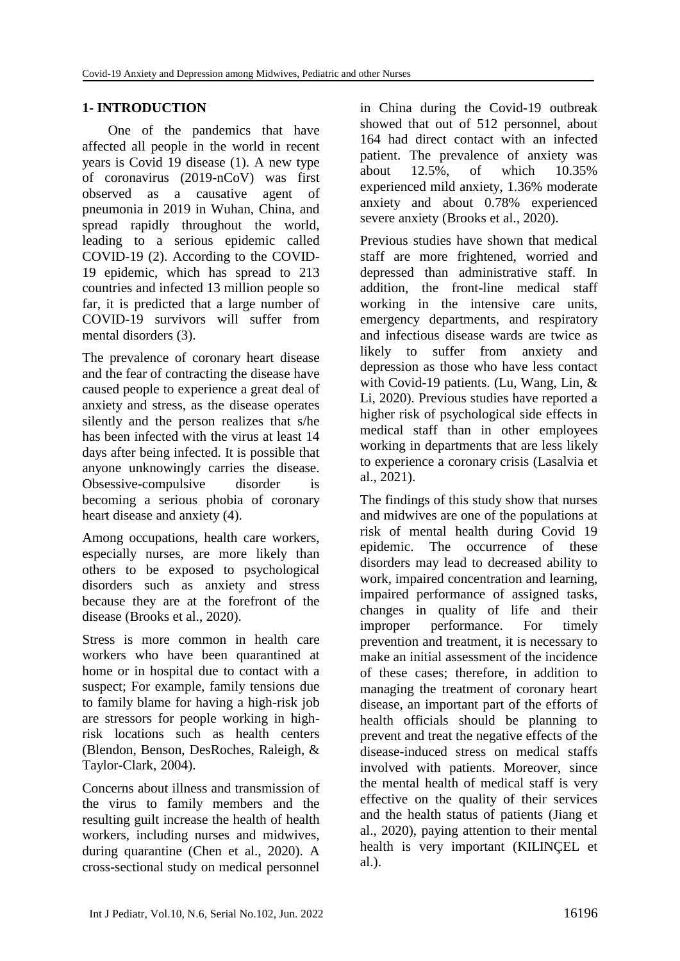# **1- INTRODUCTION**

One of the pandemics that have affected all people in the world in recent years is Covid 19 disease (1). A new type of coronavirus (2019-nCoV) was first observed as a causative agent of pneumonia in 2019 in Wuhan, China, and spread rapidly throughout the world, leading to a serious epidemic called COVID-19 (2). According to the COVID-19 epidemic, which has spread to 213 countries and infected 13 million people so far, it is predicted that a large number of COVID-19 survivors will suffer from mental disorders (3).

The prevalence of coronary heart disease and the fear of contracting the disease have caused people to experience a great deal of anxiety and stress, as the disease operates silently and the person realizes that s/he has been infected with the virus at least 14 days after being infected. It is possible that anyone unknowingly carries the disease. Obsessive-compulsive disorder is becoming a serious phobia of coronary heart disease and anxiety (4).

Among occupations, health care workers, especially nurses, are more likely than others to be exposed to psychological disorders such as anxiety and stress because they are at the forefront of the disease (Brooks et al., 2020).

Stress is more common in health care workers who have been quarantined at home or in hospital due to contact with a suspect; For example, family tensions due to family blame for having a high-risk job are stressors for people working in highrisk locations such as health centers (Blendon, Benson, DesRoches, Raleigh, & Taylor-Clark, 2004).

Concerns about illness and transmission of the virus to family members and the resulting guilt increase the health of health workers, including nurses and midwives, during quarantine (Chen et al., 2020). A cross-sectional study on medical personnel in China during the Covid-19 outbreak showed that out of 512 personnel, about 164 had direct contact with an infected patient. The prevalence of anxiety was about 12.5%, of which 10.35% experienced mild anxiety, 1.36% moderate anxiety and about 0.78% experienced severe anxiety (Brooks et al., 2020).

Previous studies have shown that medical staff are more frightened, worried and depressed than administrative staff. In addition, the front-line medical staff working in the intensive care units, emergency departments, and respiratory and infectious disease wards are twice as likely to suffer from anxiety and depression as those who have less contact with Covid-19 patients. (Lu, Wang, Lin, & Li, 2020). Previous studies have reported a higher risk of psychological side effects in medical staff than in other employees working in departments that are less likely to experience a coronary crisis (Lasalvia et al., 2021).

The findings of this study show that nurses and midwives are one of the populations at risk of mental health during Covid 19 epidemic. The occurrence of these disorders may lead to decreased ability to work, impaired concentration and learning, impaired performance of assigned tasks, changes in quality of life and their improper performance. For timely prevention and treatment, it is necessary to make an initial assessment of the incidence of these cases; therefore, in addition to managing the treatment of coronary heart disease, an important part of the efforts of health officials should be planning to prevent and treat the negative effects of the disease-induced stress on medical staffs involved with patients. Moreover, since the mental health of medical staff is very effective on the quality of their services and the health status of patients (Jiang et al., 2020), paying attention to their mental health is very important (KILINÇEL et al.).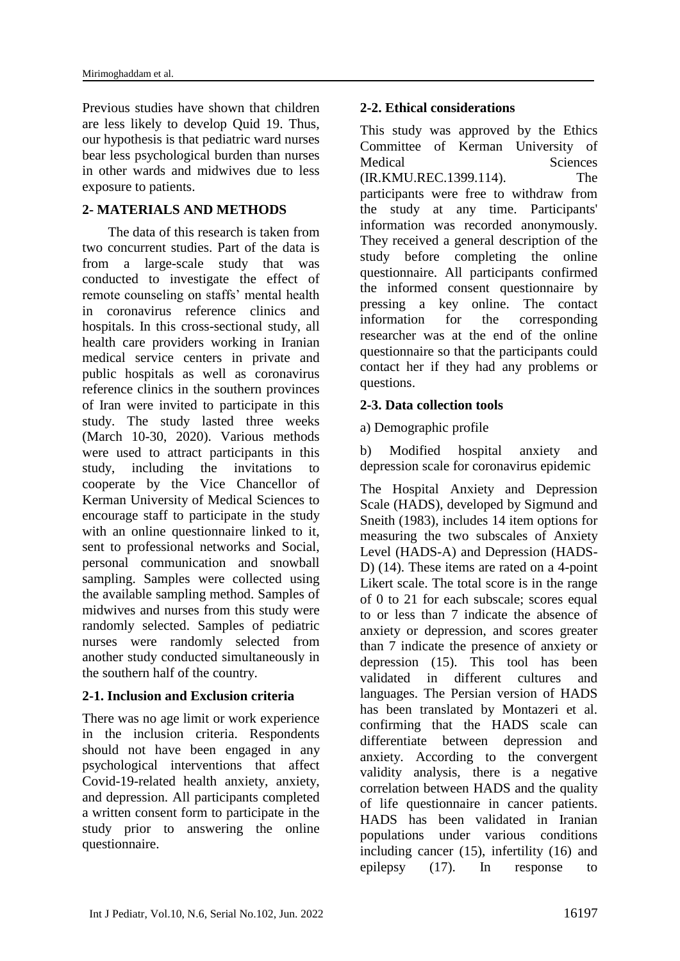Previous studies have shown that children are less likely to develop Quid 19. Thus, our hypothesis is that pediatric ward nurses bear less psychological burden than nurses in other wards and midwives due to less exposure to patients.

#### **2- MATERIALS AND METHODS**

The data of this research is taken from two concurrent studies. Part of the data is from a large-scale study that was conducted to investigate the effect of remote counseling on staffs' mental health in coronavirus reference clinics and hospitals. In this cross-sectional study, all health care providers working in Iranian medical service centers in private and public hospitals as well as coronavirus reference clinics in the southern provinces of Iran were invited to participate in this study. The study lasted three weeks (March 10-30, 2020). Various methods were used to attract participants in this study, including the invitations to cooperate by the Vice Chancellor of Kerman University of Medical Sciences to encourage staff to participate in the study with an online questionnaire linked to it, sent to professional networks and Social, personal communication and snowball sampling. Samples were collected using the available sampling method. Samples of midwives and nurses from this study were randomly selected. Samples of pediatric nurses were randomly selected from another study conducted simultaneously in the southern half of the country.

#### **2-1. Inclusion and Exclusion criteria**

There was no age limit or work experience in the inclusion criteria. Respondents should not have been engaged in any psychological interventions that affect Covid-19-related health anxiety, anxiety, and depression. All participants completed a written consent form to participate in the study prior to answering the online questionnaire.

# **2-2. Ethical considerations**

This study was approved by the Ethics Committee of Kerman University of Medical Sciences (IR.KMU.REC.1399.114). The participants were free to withdraw from the study at any time. Participants' information was recorded anonymously. They received a general description of the study before completing the online questionnaire. All participants confirmed the informed consent questionnaire by pressing a key online. The contact information for the corresponding researcher was at the end of the online questionnaire so that the participants could contact her if they had any problems or questions.

# **2-3. Data collection tools**

a) Demographic profile

b) Modified hospital anxiety and depression scale for coronavirus epidemic

The Hospital Anxiety and Depression Scale (HADS), developed by Sigmund and Sneith (1983), includes 14 item options for measuring the two subscales of Anxiety Level (HADS-A) and Depression (HADS-D) (14). These items are rated on a 4-point Likert scale. The total score is in the range of 0 to 21 for each subscale; scores equal to or less than 7 indicate the absence of anxiety or depression, and scores greater than 7 indicate the presence of anxiety or depression (15). This tool has been validated in different cultures and languages. The Persian version of HADS has been translated by Montazeri et al. confirming that the HADS scale can differentiate between depression and anxiety. According to the convergent validity analysis, there is a negative correlation between HADS and the quality of life questionnaire in cancer patients. HADS has been validated in Iranian populations under various conditions including cancer (15), infertility (16) and epilepsy (17). In response to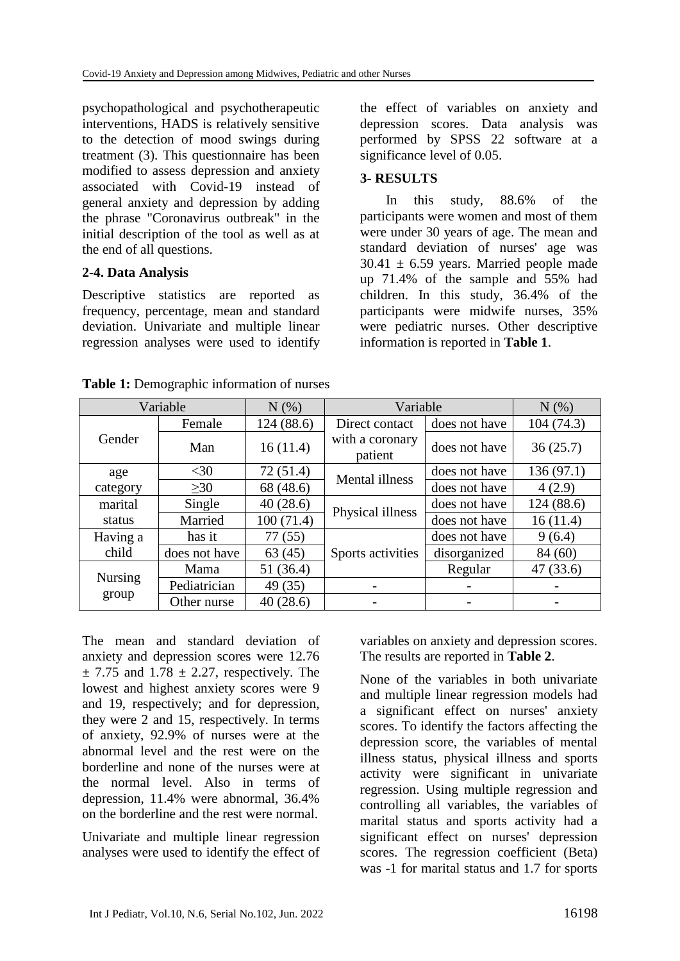psychopathological and psychotherapeutic interventions, HADS is relatively sensitive to the detection of mood swings during treatment (3). This questionnaire has been modified to assess depression and anxiety associated with Covid-19 instead of general anxiety and depression by adding the phrase "Coronavirus outbreak" in the initial description of the tool as well as at the end of all questions.

# **2-4. Data Analysis**

Descriptive statistics are reported as frequency, percentage, mean and standard deviation. Univariate and multiple linear regression analyses were used to identify

the effect of variables on anxiety and depression scores. Data analysis was performed by SPSS 22 software at a significance level of 0.05.

#### **3- RESULTS**

In this study, 88.6% of the participants were women and most of them were under 30 years of age. The mean and standard deviation of nurses' age was  $30.41 \pm 6.59$  years. Married people made up 71.4% of the sample and 55% had children. In this study, 36.4% of the participants were midwife nurses, 35% were pediatric nurses. Other descriptive information is reported in **Table 1**.

| Variable                |               | N(%)      | Variable                   |               | N(%)       |
|-------------------------|---------------|-----------|----------------------------|---------------|------------|
| Gender                  | Female        | 124(88.6) | Direct contact             | does not have | 104 (74.3) |
|                         | Man           | 16(11.4)  | with a coronary<br>patient | does not have | 36(25.7)   |
| age                     | $<$ 30        | 72(51.4)  | Mental illness             | does not have | 136(97.1)  |
| category                | >30           | 68 (48.6) |                            | does not have | 4(2.9)     |
| marital                 | Single        | 40(28.6)  | Physical illness           | does not have | 124 (88.6) |
| status                  | Married       | 100(71.4) |                            | does not have | 16(11.4)   |
| Having a                | has it        | 77(55)    |                            | does not have | 9(6.4)     |
| child                   | does not have | 63(45)    | Sports activities          | disorganized  | 84 (60)    |
| <b>Nursing</b><br>group | Mama          | 51 (36.4) |                            | Regular       | 47(33.6)   |
|                         | Pediatrician  | 49 (35)   |                            |               |            |
|                         | Other nurse   | 40(28.6)  |                            |               |            |

**Table 1:** Demographic information of nurses

The mean and standard deviation of anxiety and depression scores were 12.76  $\pm$  7.75 and 1.78  $\pm$  2.27, respectively. The lowest and highest anxiety scores were 9 and 19, respectively; and for depression, they were 2 and 15, respectively. In terms of anxiety, 92.9% of nurses were at the abnormal level and the rest were on the borderline and none of the nurses were at the normal level. Also in terms of depression, 11.4% were abnormal, 36.4% on the borderline and the rest were normal.

Univariate and multiple linear regression analyses were used to identify the effect of variables on anxiety and depression scores. The results are reported in **Table 2**.

None of the variables in both univariate and multiple linear regression models had a significant effect on nurses' anxiety scores. To identify the factors affecting the depression score, the variables of mental illness status, physical illness and sports activity were significant in univariate regression. Using multiple regression and controlling all variables, the variables of marital status and sports activity had a significant effect on nurses' depression scores. The regression coefficient (Beta) was -1 for marital status and 1.7 for sports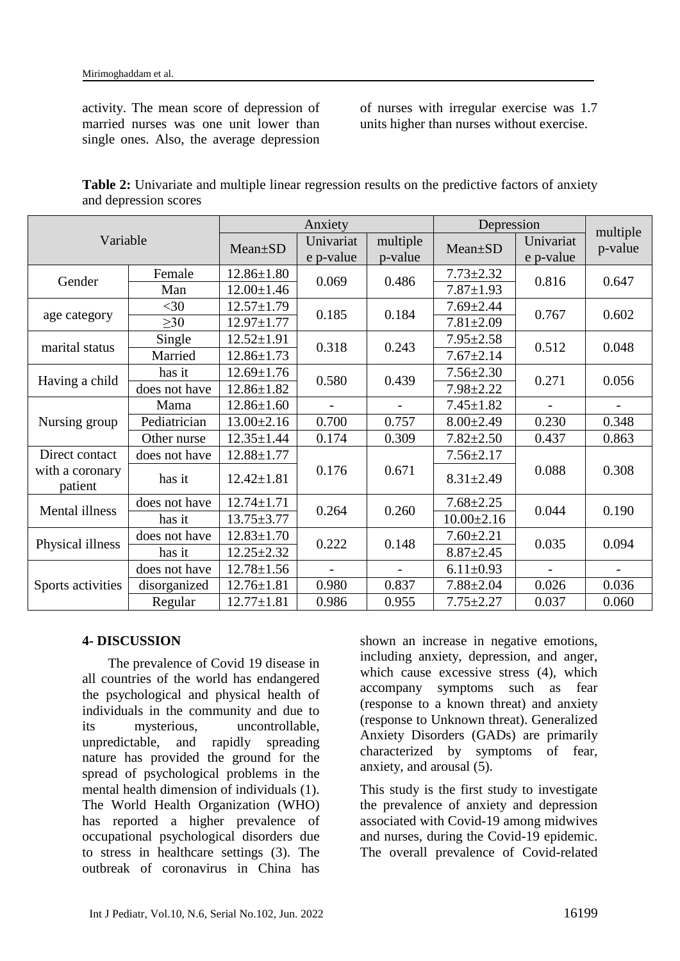activity. The mean score of depression of married nurses was one unit lower than single ones. Also, the average depression of nurses with irregular exercise was 1.7 units higher than nurses without exercise.

|                       | <b>Table 2:</b> Univariate and multiple linear regression results on the predictive factors of anxiety |  |  |  |
|-----------------------|--------------------------------------------------------------------------------------------------------|--|--|--|
| and depression scores |                                                                                                        |  |  |  |

| Variable                                     |               | Anxiety          |                          |                          | Depression       |           |                     |
|----------------------------------------------|---------------|------------------|--------------------------|--------------------------|------------------|-----------|---------------------|
|                                              |               | Mean±SD          | Univariat                | multiple                 | Mean±SD          | Univariat | multiple<br>p-value |
|                                              |               |                  | e p-value                | p-value                  |                  | e p-value |                     |
| Gender                                       | Female        | $12.86 \pm 1.80$ | 0.069                    | 0.486                    | $7.73 \pm 2.32$  | 0.816     | 0.647               |
|                                              | Man           | $12.00 \pm 1.46$ |                          |                          | $7.87 \pm 1.93$  |           |                     |
| age category                                 | $<$ 30        | $12.57 \pm 1.79$ | 0.185                    | 0.184                    | $7.69 \pm 2.44$  | 0.767     | 0.602               |
|                                              | $\geq 30$     | $12.97 \pm 1.77$ |                          |                          | $7.81 \pm 2.09$  |           |                     |
| marital status                               | Single        | $12.52 \pm 1.91$ | 0.318                    | 0.243                    | $7.95 \pm 2.58$  | 0.512     | 0.048               |
|                                              | Married       | $12.86 \pm 1.73$ |                          |                          | $7.67 \pm 2.14$  |           |                     |
| Having a child                               | has it        | $12.69 \pm 1.76$ | 0.580                    | 0.439                    | $7.56 \pm 2.30$  | 0.271     | 0.056               |
|                                              | does not have | $12.86 \pm 1.82$ |                          |                          | $7.98 \pm 2.22$  |           |                     |
| Nursing group                                | Mama          | $12.86 \pm 1.60$ | $\overline{\phantom{0}}$ | $\overline{\phantom{a}}$ | $7.45 \pm 1.82$  |           |                     |
|                                              | Pediatrician  | $13.00 \pm 2.16$ | 0.700                    | 0.757                    | $8.00 \pm 2.49$  | 0.230     | 0.348               |
|                                              | Other nurse   | $12.35 \pm 1.44$ | 0.174                    | 0.309                    | $7.82 \pm 2.50$  | 0.437     | 0.863               |
| Direct contact<br>with a coronary<br>patient | does not have | $12.88 \pm 1.77$ | 0.176                    | 0.671                    | $7.56 \pm 2.17$  | 0.088     | 0.308               |
|                                              | has it        | $12.42 \pm 1.81$ |                          |                          | $8.31 \pm 2.49$  |           |                     |
| <b>Mental illness</b>                        | does not have | $12.74 \pm 1.71$ | 0.264                    | 0.260                    | $7.68 \pm 2.25$  | 0.044     | 0.190               |
|                                              | has it        | $13.75 \pm 3.77$ |                          |                          | $10.00 \pm 2.16$ |           |                     |
| Physical illness                             | does not have | $12.83 \pm 1.70$ | 0.222                    | 0.148                    | $7.60 \pm 2.21$  | 0.035     | 0.094               |
|                                              | has it        | $12.25 \pm 2.32$ |                          |                          | $8.87 \pm 2.45$  |           |                     |
| Sports activities                            | does not have | $12.78 \pm 1.56$ | $\blacksquare$           |                          | $6.11 \pm 0.93$  |           |                     |
|                                              | disorganized  | $12.76 \pm 1.81$ | 0.980                    | 0.837                    | $7.88 \pm 2.04$  | 0.026     | 0.036               |
|                                              | Regular       | $12.77 \pm 1.81$ | 0.986                    | 0.955                    | $7.75 \pm 2.27$  | 0.037     | 0.060               |

# **4- DISCUSSION**

The prevalence of Covid 19 disease in all countries of the world has endangered the psychological and physical health of individuals in the community and due to its mysterious, uncontrollable, unpredictable, and rapidly spreading nature has provided the ground for the spread of psychological problems in the mental health dimension of individuals (1). The World Health Organization (WHO) has reported a higher prevalence of occupational psychological disorders due to stress in healthcare settings (3). The outbreak of coronavirus in China has shown an increase in negative emotions, including anxiety, depression, and anger, which cause excessive stress (4), which accompany symptoms such as fear (response to a known threat) and anxiety (response to Unknown threat). Generalized Anxiety Disorders (GADs) are primarily characterized by symptoms of fear, anxiety, and arousal (5).

This study is the first study to investigate the prevalence of anxiety and depression associated with Covid-19 among midwives and nurses, during the Covid-19 epidemic. The overall prevalence of Covid-related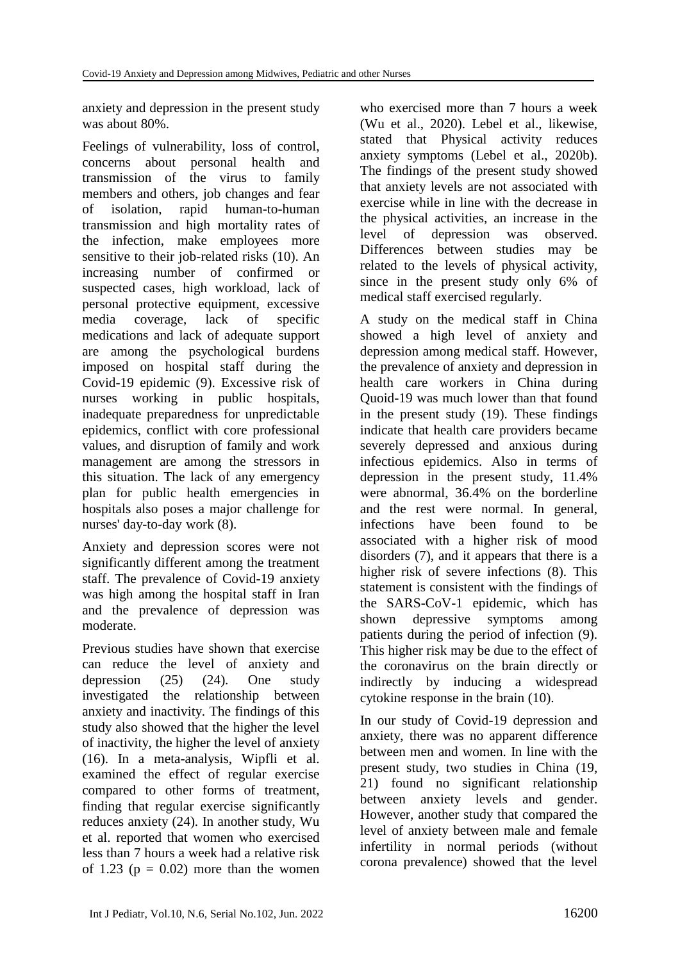anxiety and depression in the present study was about 80%.

Feelings of vulnerability, loss of control, concerns about personal health and transmission of the virus to family members and others, job changes and fear of isolation, rapid human-to-human transmission and high mortality rates of the infection, make employees more sensitive to their job-related risks (10). An increasing number of confirmed or suspected cases, high workload, lack of personal protective equipment, excessive media coverage, lack of specific medications and lack of adequate support are among the psychological burdens imposed on hospital staff during the Covid-19 epidemic (9). Excessive risk of nurses working in public hospitals, inadequate preparedness for unpredictable epidemics, conflict with core professional values, and disruption of family and work management are among the stressors in this situation. The lack of any emergency plan for public health emergencies in hospitals also poses a major challenge for nurses' day-to-day work (8).

Anxiety and depression scores were not significantly different among the treatment staff. The prevalence of Covid-19 anxiety was high among the hospital staff in Iran and the prevalence of depression was moderate.

Previous studies have shown that exercise can reduce the level of anxiety and depression (25) (24). One study investigated the relationship between anxiety and inactivity. The findings of this study also showed that the higher the level of inactivity, the higher the level of anxiety (16). In a meta-analysis, Wipfli et al. examined the effect of regular exercise compared to other forms of treatment, finding that regular exercise significantly reduces anxiety (24). In another study, Wu et al. reported that women who exercised less than 7 hours a week had a relative risk of 1.23 ( $p = 0.02$ ) more than the women who exercised more than 7 hours a week (Wu et al., 2020). Lebel et al., likewise, stated that Physical activity reduces anxiety symptoms (Lebel et al., 2020b). The findings of the present study showed that anxiety levels are not associated with exercise while in line with the decrease in the physical activities, an increase in the level of depression was observed. Differences between studies may be related to the levels of physical activity, since in the present study only 6% of medical staff exercised regularly.

A study on the medical staff in China showed a high level of anxiety and depression among medical staff. However, the prevalence of anxiety and depression in health care workers in China during Quoid-19 was much lower than that found in the present study (19). These findings indicate that health care providers became severely depressed and anxious during infectious epidemics. Also in terms of depression in the present study, 11.4% were abnormal, 36.4% on the borderline and the rest were normal. In general, infections have been found to be associated with a higher risk of mood disorders (7), and it appears that there is a higher risk of severe infections (8). This statement is consistent with the findings of the SARS-CoV-1 epidemic, which has shown depressive symptoms among patients during the period of infection (9). This higher risk may be due to the effect of the coronavirus on the brain directly or indirectly by inducing a widespread cytokine response in the brain (10).

In our study of Covid-19 depression and anxiety, there was no apparent difference between men and women. In line with the present study, two studies in China (19, 21) found no significant relationship between anxiety levels and gender. However, another study that compared the level of anxiety between male and female infertility in normal periods (without corona prevalence) showed that the level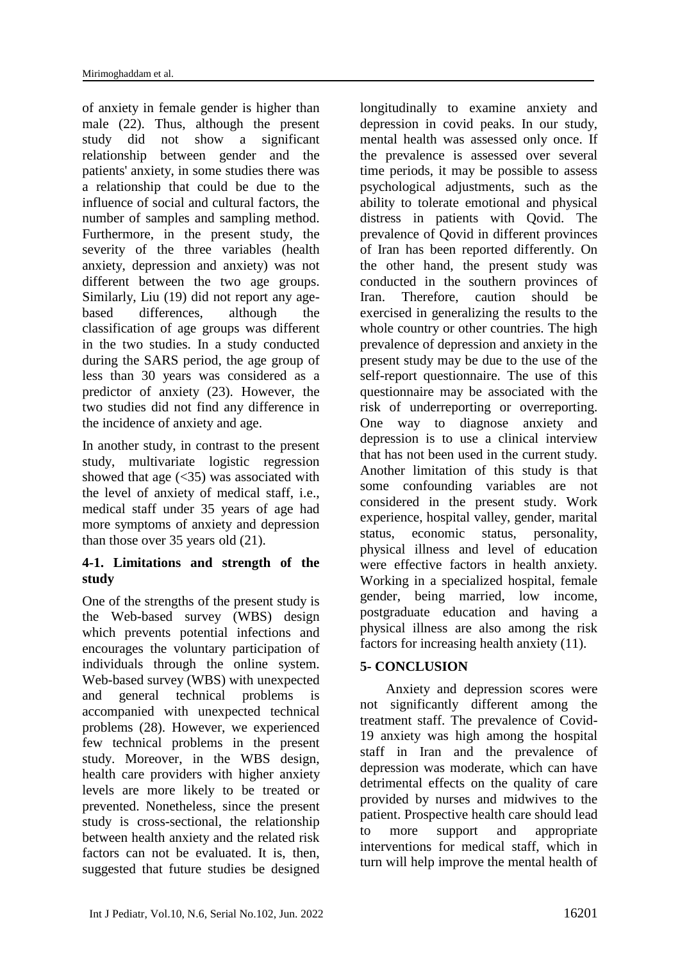of anxiety in female gender is higher than male (22). Thus, although the present study did not show a significant relationship between gender and the patients' anxiety, in some studies there was a relationship that could be due to the influence of social and cultural factors, the number of samples and sampling method. Furthermore, in the present study, the severity of the three variables (health anxiety, depression and anxiety) was not different between the two age groups. Similarly, Liu (19) did not report any agebased differences, although the classification of age groups was different in the two studies. In a study conducted during the SARS period, the age group of less than 30 years was considered as a predictor of anxiety (23). However, the two studies did not find any difference in the incidence of anxiety and age.

In another study, in contrast to the present study, multivariate logistic regression showed that age  $(\leq 35)$  was associated with the level of anxiety of medical staff, i.e., medical staff under 35 years of age had more symptoms of anxiety and depression than those over 35 years old (21).

# **4-1. Limitations and strength of the study**

One of the strengths of the present study is the Web-based survey (WBS) design which prevents potential infections and encourages the voluntary participation of individuals through the online system. Web-based survey (WBS) with unexpected and general technical problems is accompanied with unexpected technical problems (28). However, we experienced few technical problems in the present study. Moreover, in the WBS design, health care providers with higher anxiety levels are more likely to be treated or prevented. Nonetheless, since the present study is cross-sectional, the relationship between health anxiety and the related risk factors can not be evaluated. It is, then, suggested that future studies be designed

longitudinally to examine anxiety and depression in covid peaks. In our study, mental health was assessed only once. If the prevalence is assessed over several time periods, it may be possible to assess psychological adjustments, such as the ability to tolerate emotional and physical distress in patients with Qovid. The prevalence of Qovid in different provinces of Iran has been reported differently. On the other hand, the present study was conducted in the southern provinces of Iran. Therefore, caution should be exercised in generalizing the results to the whole country or other countries. The high prevalence of depression and anxiety in the present study may be due to the use of the self-report questionnaire. The use of this questionnaire may be associated with the risk of underreporting or overreporting. One way to diagnose anxiety and depression is to use a clinical interview that has not been used in the current study. Another limitation of this study is that some confounding variables are not considered in the present study. Work experience, hospital valley, gender, marital status, economic status, personality, physical illness and level of education were effective factors in health anxiety. Working in a specialized hospital, female gender, being married, low income, postgraduate education and having a physical illness are also among the risk factors for increasing health anxiety (11).

# **5- CONCLUSION**

Anxiety and depression scores were not significantly different among the treatment staff. The prevalence of Covid-19 anxiety was high among the hospital staff in Iran and the prevalence of depression was moderate, which can have detrimental effects on the quality of care provided by nurses and midwives to the patient. Prospective health care should lead to more support and appropriate interventions for medical staff, which in turn will help improve the mental health of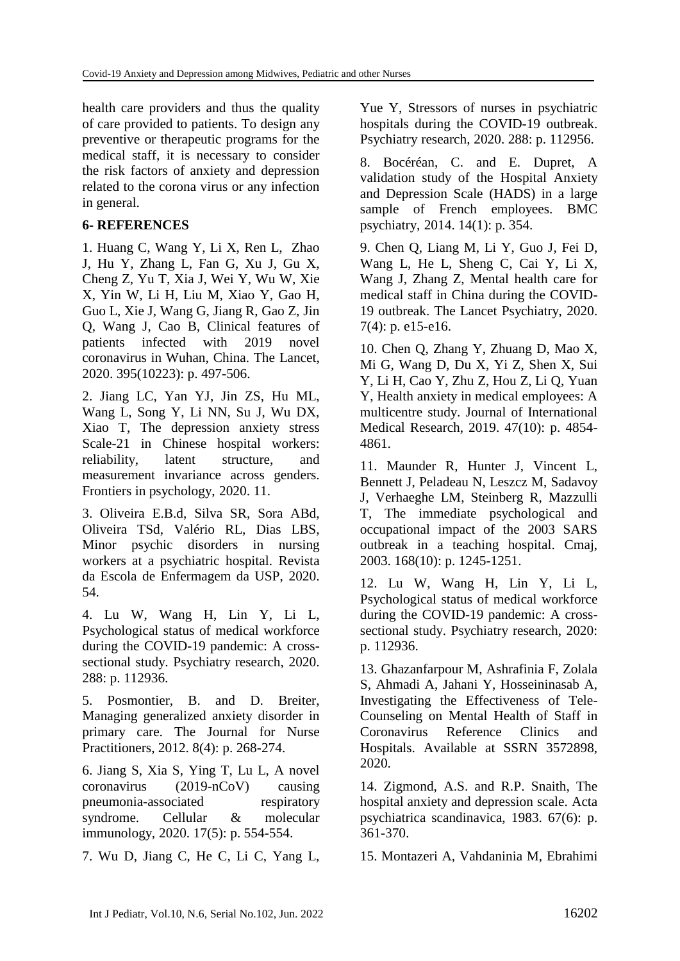health care providers and thus the quality of care provided to patients. To design any preventive or therapeutic programs for the medical staff, it is necessary to consider the risk factors of anxiety and depression related to the corona virus or any infection in general.

#### **6- REFERENCES**

1. Huang C, Wang Y, Li X, Ren L, Zhao J, Hu Y, Zhang L, Fan G, Xu J, Gu X, Cheng Z, Yu T, Xia J, Wei Y, Wu W, Xie X, Yin W, Li H, Liu M, Xiao Y, Gao H, Guo L, Xie J, Wang G, Jiang R, Gao Z, Jin Q, Wang J, Cao B, Clinical features of patients infected with 2019 novel coronavirus in Wuhan, China. The Lancet, 2020. 395(10223): p. 497-506.

2. Jiang LC, Yan YJ, Jin ZS, Hu ML, Wang L, Song Y, Li NN, Su J, Wu DX, Xiao T, The depression anxiety stress Scale-21 in Chinese hospital workers: reliability, latent structure, and measurement invariance across genders. Frontiers in psychology, 2020. 11.

3. Oliveira E.B.d, Silva SR, Sora ABd, Oliveira TSd, Valério RL, Dias LBS, Minor psychic disorders in nursing workers at a psychiatric hospital. Revista da Escola de Enfermagem da USP, 2020. 54.

4. Lu W, Wang H, Lin Y, Li L, Psychological status of medical workforce during the COVID-19 pandemic: A crosssectional study. Psychiatry research, 2020. 288: p. 112936.

5. Posmontier, B. and D. Breiter, Managing generalized anxiety disorder in primary care. The Journal for Nurse Practitioners, 2012. 8(4): p. 268-274.

6. Jiang S, Xia S, Ying T, Lu L, A novel coronavirus (2019-nCoV) causing pneumonia-associated respiratory syndrome. Cellular & molecular immunology, 2020. 17(5): p. 554-554.

7. Wu D, Jiang C, He C, Li C, Yang L,

Yue Y, Stressors of nurses in psychiatric hospitals during the COVID-19 outbreak. Psychiatry research, 2020. 288: p. 112956.

8. Bocéréan, C. and E. Dupret, A validation study of the Hospital Anxiety and Depression Scale (HADS) in a large sample of French employees. BMC psychiatry, 2014. 14(1): p. 354.

9. Chen Q, Liang M, Li Y, Guo J, Fei D, Wang L, He L, Sheng C, Cai Y, Li X, Wang J, Zhang Z, Mental health care for medical staff in China during the COVID-19 outbreak. The Lancet Psychiatry, 2020. 7(4): p. e15-e16.

10. Chen Q, Zhang Y, Zhuang D, Mao X, Mi G, Wang D, Du X, Yi Z, Shen X, Sui Y, Li H, Cao Y, Zhu Z, Hou Z, Li Q, Yuan Y, Health anxiety in medical employees: A multicentre study. Journal of International Medical Research, 2019. 47(10): p. 4854- 4861.

11. Maunder R, Hunter J, Vincent L, Bennett J, Peladeau N, Leszcz M, Sadavoy J, Verhaeghe LM, Steinberg R, Mazzulli T, The immediate psychological and occupational impact of the 2003 SARS outbreak in a teaching hospital. Cmaj, 2003. 168(10): p. 1245-1251.

12. Lu W, Wang H, Lin Y, Li L, Psychological status of medical workforce during the COVID-19 pandemic: A crosssectional study. Psychiatry research, 2020: p. 112936.

13. Ghazanfarpour M, Ashrafinia F, Zolala S, Ahmadi A, Jahani Y, Hosseininasab A, Investigating the Effectiveness of Tele-Counseling on Mental Health of Staff in Coronavirus Reference Clinics and Hospitals. Available at SSRN 3572898, 2020.

14. Zigmond, A.S. and R.P. Snaith, The hospital anxiety and depression scale. Acta psychiatrica scandinavica, 1983. 67(6): p. 361-370.

15. Montazeri A, Vahdaninia M, Ebrahimi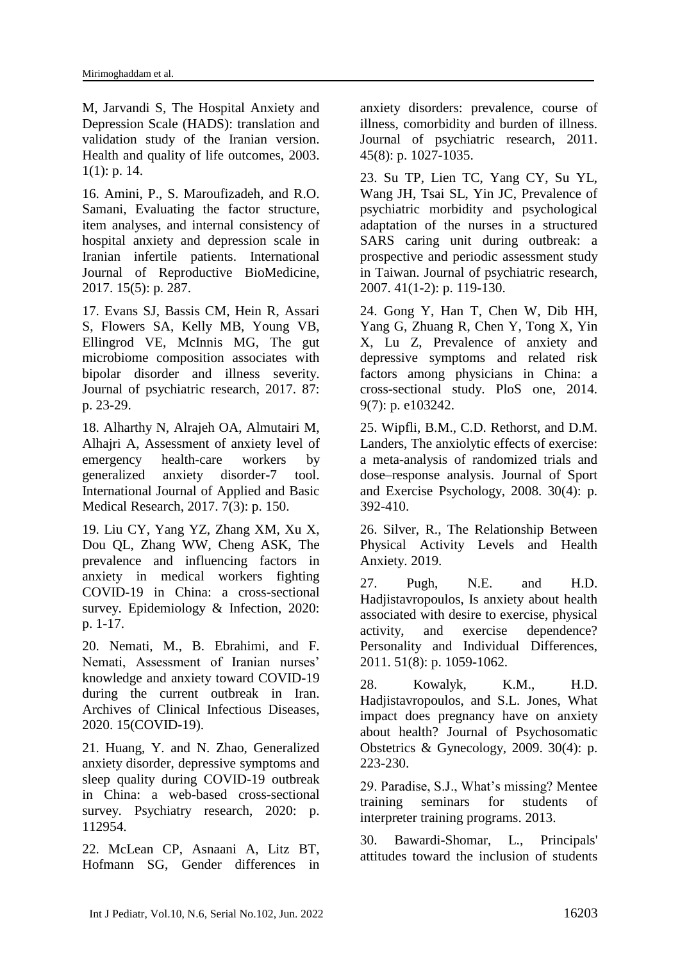M, Jarvandi S, The Hospital Anxiety and Depression Scale (HADS): translation and validation study of the Iranian version. Health and quality of life outcomes, 2003. 1(1): p. 14.

16. Amini, P., S. Maroufizadeh, and R.O. Samani, Evaluating the factor structure, item analyses, and internal consistency of hospital anxiety and depression scale in Iranian infertile patients. International Journal of Reproductive BioMedicine, 2017. 15(5): p. 287.

17. Evans SJ, Bassis CM, Hein R, Assari S, Flowers SA, Kelly MB, Young VB, Ellingrod VE, McInnis MG, The gut microbiome composition associates with bipolar disorder and illness severity. Journal of psychiatric research, 2017. 87: p. 23-29.

18. Alharthy N, Alrajeh OA, Almutairi M, Alhajri A, Assessment of anxiety level of emergency health-care workers by generalized anxiety disorder-7 tool. International Journal of Applied and Basic Medical Research, 2017. 7(3): p. 150.

19. Liu CY, Yang YZ, Zhang XM, Xu X, Dou QL, Zhang WW, Cheng ASK, The prevalence and influencing factors in anxiety in medical workers fighting COVID-19 in China: a cross-sectional survey. Epidemiology & Infection, 2020: p. 1-17.

20. Nemati, M., B. Ebrahimi, and F. Nemati, Assessment of Iranian nurses' knowledge and anxiety toward COVID-19 during the current outbreak in Iran. Archives of Clinical Infectious Diseases, 2020. 15(COVID-19).

21. Huang, Y. and N. Zhao, Generalized anxiety disorder, depressive symptoms and sleep quality during COVID-19 outbreak in China: a web-based cross-sectional survey. Psychiatry research, 2020: p. 112954.

22. McLean CP, Asnaani A, Litz BT, Hofmann SG, Gender differences in anxiety disorders: prevalence, course of illness, comorbidity and burden of illness. Journal of psychiatric research, 2011. 45(8): p. 1027-1035.

23. Su TP, Lien TC, Yang CY, Su YL, Wang JH, Tsai SL, Yin JC, Prevalence of psychiatric morbidity and psychological adaptation of the nurses in a structured SARS caring unit during outbreak: a prospective and periodic assessment study in Taiwan. Journal of psychiatric research, 2007. 41(1-2): p. 119-130.

24. [Gong](https://pubmed.ncbi.nlm.nih.gov/?term=Gong+Y&cauthor_id=25050618) Y, [Han](https://pubmed.ncbi.nlm.nih.gov/?term=Han+T&cauthor_id=25050618) T, [Chen](https://pubmed.ncbi.nlm.nih.gov/?term=Chen+W&cauthor_id=25050618) W, [Dib](https://pubmed.ncbi.nlm.nih.gov/?term=Dib+HH&cauthor_id=25050618) HH, [Yang](https://pubmed.ncbi.nlm.nih.gov/?term=Yang+G&cauthor_id=25050618) G, [Zhuang](https://pubmed.ncbi.nlm.nih.gov/?term=Zhuang+R&cauthor_id=25050618) R, [Chen](https://pubmed.ncbi.nlm.nih.gov/?term=Chen+Y&cauthor_id=25050618) Y, [Tong](https://pubmed.ncbi.nlm.nih.gov/?term=Tong+X&cauthor_id=25050618) X, [Yin](https://pubmed.ncbi.nlm.nih.gov/?term=Yin+X&cauthor_id=25050618) X, [Lu](https://pubmed.ncbi.nlm.nih.gov/?term=Lu+Z&cauthor_id=25050618) Z, Prevalence of anxiety and depressive symptoms and related risk factors among physicians in China: a cross-sectional study. PloS one, 2014. 9(7): p. e103242.

25. Wipfli, B.M., C.D. Rethorst, and D.M. Landers, The anxiolytic effects of exercise: a meta-analysis of randomized trials and dose–response analysis. Journal of Sport and Exercise Psychology, 2008. 30(4): p. 392-410.

26. Silver, R., The Relationship Between Physical Activity Levels and Health Anxiety. 2019.

27. Pugh, N.E. and H.D. Hadjistavropoulos, Is anxiety about health associated with desire to exercise, physical activity, and exercise dependence? Personality and Individual Differences, 2011. 51(8): p. 1059-1062.

28. Kowalyk, K.M., H.D. Hadjistavropoulos, and S.L. Jones, What impact does pregnancy have on anxiety about health? Journal of Psychosomatic Obstetrics & Gynecology, 2009. 30(4): p. 223-230.

29. Paradise, S.J., What's missing? Mentee training seminars for students of interpreter training programs. 2013.

30. Bawardi-Shomar, L., Principals' attitudes toward the inclusion of students